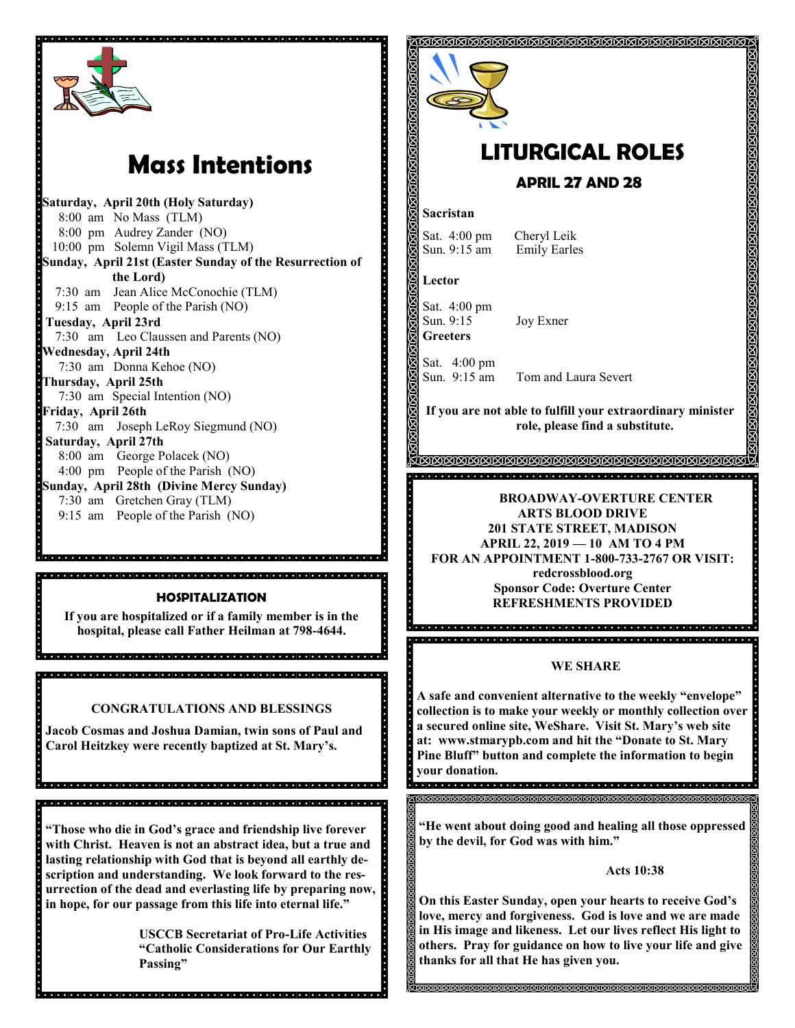

# **Mass Intentions**

**Saturday, April 20th (Holy Saturday)** 8:00 am No Mass (TLM) 8:00 pm Audrey Zander (NO) 10:00 pm Solemn Vigil Mass (TLM) **Sunday, April 21st (Easter Sunday of the Resurrection of the Lord)** 7:30 am Jean Alice McConochie (TLM) 9:15 am People of the Parish (NO) **Tuesday, April 23rd**  7:30 am Leo Claussen and Parents (NO) **Wednesday, April 24th** 7:30 am Donna Kehoe (NO) **Thursday, April 25th** 7:30 am Special Intention (NO) **Friday, April 26th** 7:30 am Joseph LeRoy Siegmund (NO) **Saturday, April 27th**  8:00 am George Polacek (NO) 4:00 pm People of the Parish (NO) **Sunday, April 28th (Divine Mercy Sunday)** 7:30 am Gretchen Gray (TLM) 9:15 am People of the Parish (NO)

#### **HOSPITALIZATION**

**If you are hospitalized or if a family member is in the hospital, please call Father Heilman at 798-4644.**

**CONGRATULATIONS AND BLESSINGS**

**Jacob Cosmas and Joshua Damian, twin sons of Paul and Carol Heitzkey were recently baptized at St. Mary's.**

in die lande deur de la betalle lande de la betalle de la betalle de la betalle de la betalle de la betalle de

**"Those who die in God's grace and friendship live forever with Christ. Heaven is not an abstract idea, but a true and lasting relationship with God that is beyond all earthly description and understanding. We look forward to the resurrection of the dead and everlasting life by preparing now, in hope, for our passage from this life into eternal life."**

.<br>In plate de la biblioteta de la biblioteta del plate de la biblioteta de la biblioteta de la biblioteta de la

**USCCB Secretariat of Pro-Life Activities "Catholic Considerations for Our Earthly Passing"**



# **LITURGICAL ROLES**

### **APRIL 27 AND 28**

#### **Sacristan**

Sat. 4:00 pm Cheryl Leik<br>Sun. 9:15 am Emily Earles

**Lector**

. . . . . . . . . . . . . . . .

**Property** 

acions.

Sat. 4:00 pm<br>Sun. 9:15 **Greeters**

Joy Exner

**Emily Earles** 

Sat. 4:00 pm

Sun. 9:15 am Tom and Laura Severt

**If you are not able to fulfill your extraordinary minister role, please find a substitute.** 

#### **BROADWAY-OVERTURE CENTER ARTS BLOOD DRIVE 201 STATE STREET, MADISON APRIL 22, 2019 — 10 AM TO 4 PM FOR AN APPOINTMENT 1-800-733-2767 OR VISIT: redcrossblood.org**

**Sponsor Code: Overture Center REFRESHMENTS PROVIDED**

#### **WE SHARE**

**A safe and convenient alternative to the weekly "envelope" collection is to make your weekly or monthly collection over a secured online site, WeShare. Visit St. Mary's web site at: www.stmarypb.com and hit the "Donate to St. Mary Pine Bluff" button and complete the information to begin your donation.**

**"He went about doing good and healing all those oppressed by the devil, for God was with him."**

#### **Acts 10:38**

**On this Easter Sunday, open your hearts to receive God's love, mercy and forgiveness. God is love and we are made in His image and likeness. Let our lives reflect His light to others. Pray for guidance on how to live your life and give thanks for all that He has given you.** 

**SISISISISISISISISISISISISISI**